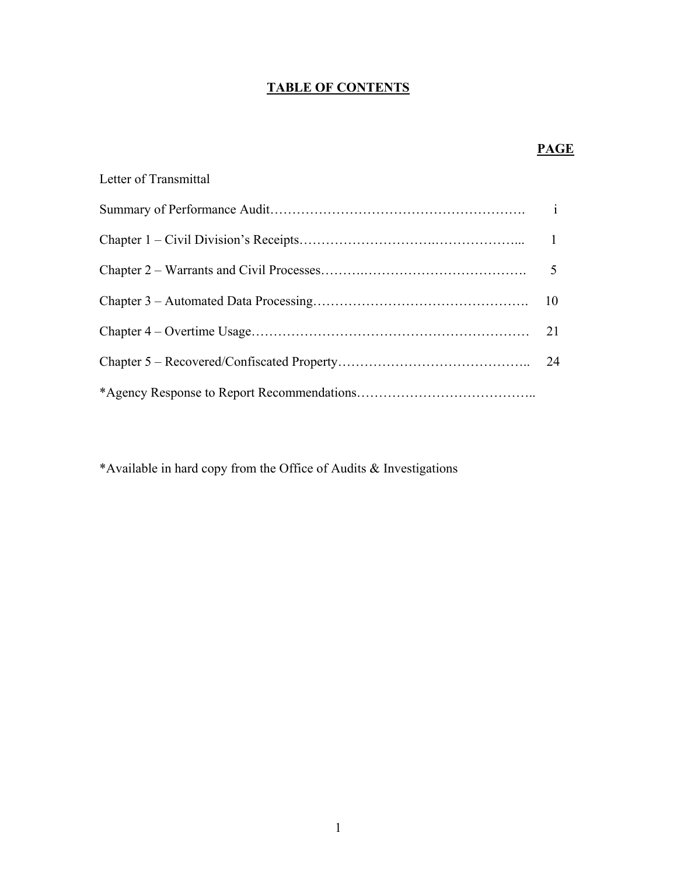# **TABLE OF CONTENTS**

# **PAGE**

| Letter of Transmittal |    |
|-----------------------|----|
|                       |    |
|                       |    |
|                       |    |
|                       |    |
|                       | 21 |
|                       |    |
|                       |    |

\*Available in hard copy from the Office of Audits & Investigations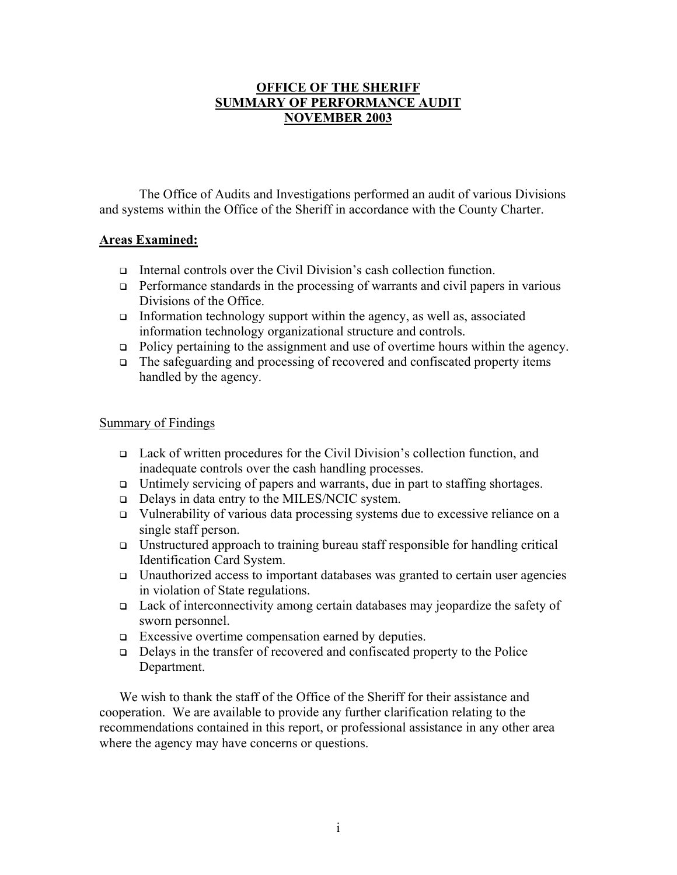# **OFFICE OF THE SHERIFF SUMMARY OF PERFORMANCE AUDIT NOVEMBER 2003**

The Office of Audits and Investigations performed an audit of various Divisions and systems within the Office of the Sheriff in accordance with the County Charter.

# **Areas Examined:**

- Internal controls over the Civil Division's cash collection function.
- $\Box$  Performance standards in the processing of warrants and civil papers in various Divisions of the Office
- Information technology support within the agency, as well as, associated information technology organizational structure and controls.
- □ Policy pertaining to the assignment and use of overtime hours within the agency.
- The safeguarding and processing of recovered and confiscated property items handled by the agency.

# Summary of Findings

- Lack of written procedures for the Civil Division's collection function, and inadequate controls over the cash handling processes.
- $\Box$  Untimely servicing of papers and warrants, due in part to staffing shortages.
- Delays in data entry to the MILES/NCIC system.
- Vulnerability of various data processing systems due to excessive reliance on a single staff person.
- Unstructured approach to training bureau staff responsible for handling critical Identification Card System.
- **Unauthorized access to important databases was granted to certain user agencies** in violation of State regulations.
- Lack of interconnectivity among certain databases may jeopardize the safety of sworn personnel.
- Excessive overtime compensation earned by deputies.
- $\Box$  Delays in the transfer of recovered and confiscated property to the Police Department.

We wish to thank the staff of the Office of the Sheriff for their assistance and cooperation. We are available to provide any further clarification relating to the recommendations contained in this report, or professional assistance in any other area where the agency may have concerns or questions.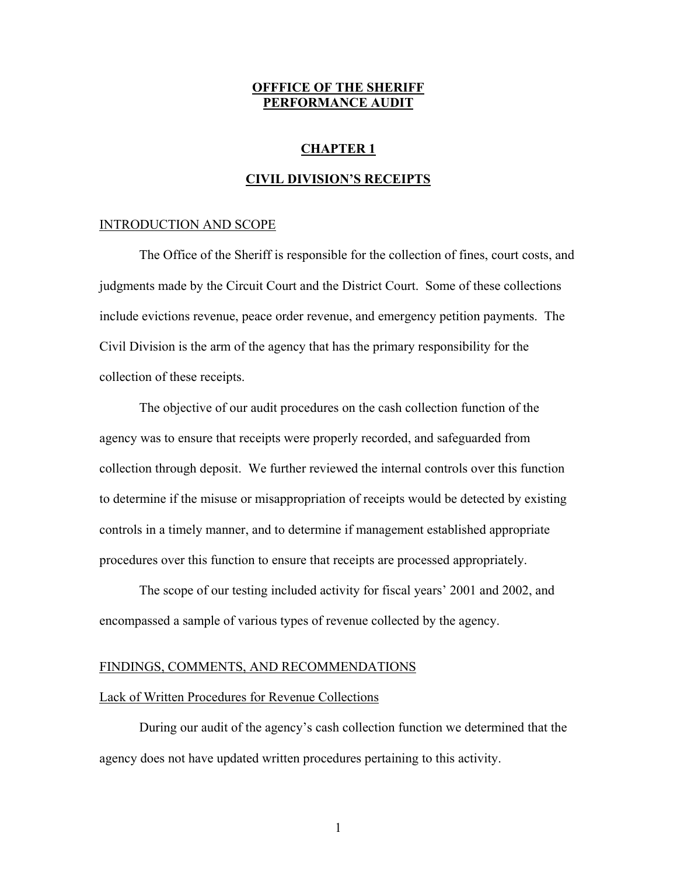# **OFFFICE OF THE SHERIFF PERFORMANCE AUDIT**

# **CHAPTER 1**

### **CIVIL DIVISION'S RECEIPTS**

#### INTRODUCTION AND SCOPE

The Office of the Sheriff is responsible for the collection of fines, court costs, and judgments made by the Circuit Court and the District Court. Some of these collections include evictions revenue, peace order revenue, and emergency petition payments. The Civil Division is the arm of the agency that has the primary responsibility for the collection of these receipts.

The objective of our audit procedures on the cash collection function of the agency was to ensure that receipts were properly recorded, and safeguarded from collection through deposit. We further reviewed the internal controls over this function to determine if the misuse or misappropriation of receipts would be detected by existing controls in a timely manner, and to determine if management established appropriate procedures over this function to ensure that receipts are processed appropriately.

The scope of our testing included activity for fiscal years' 2001 and 2002, and encompassed a sample of various types of revenue collected by the agency.

### FINDINGS, COMMENTS, AND RECOMMENDATIONS

### Lack of Written Procedures for Revenue Collections

During our audit of the agency's cash collection function we determined that the agency does not have updated written procedures pertaining to this activity.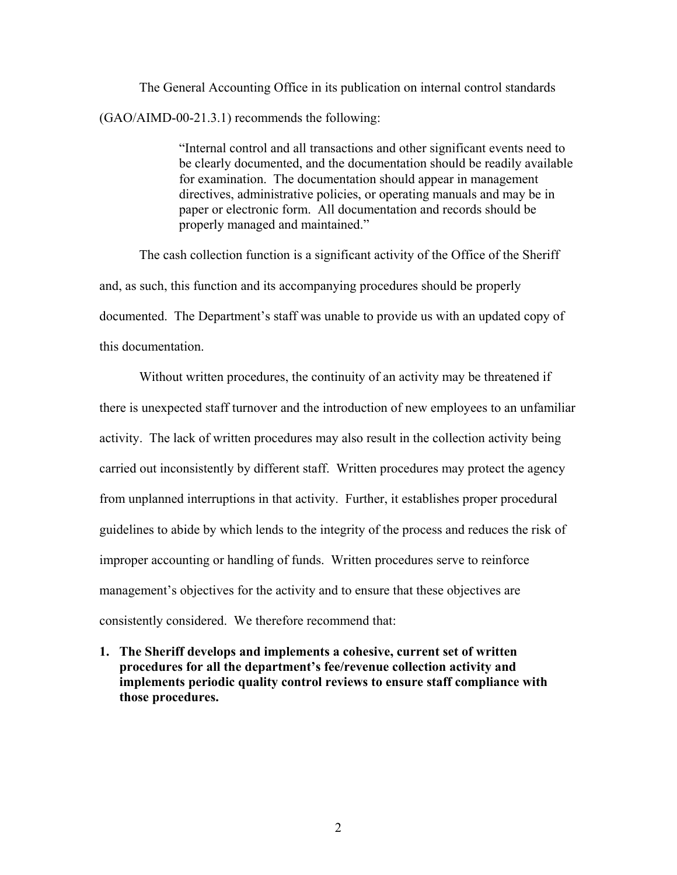The General Accounting Office in its publication on internal control standards (GAO/AIMD-00-21.3.1) recommends the following:

> "Internal control and all transactions and other significant events need to be clearly documented, and the documentation should be readily available for examination. The documentation should appear in management directives, administrative policies, or operating manuals and may be in paper or electronic form. All documentation and records should be properly managed and maintained."

 The cash collection function is a significant activity of the Office of the Sheriff and, as such, this function and its accompanying procedures should be properly documented. The Department's staff was unable to provide us with an updated copy of this documentation.

 Without written procedures, the continuity of an activity may be threatened if there is unexpected staff turnover and the introduction of new employees to an unfamiliar activity. The lack of written procedures may also result in the collection activity being carried out inconsistently by different staff. Written procedures may protect the agency from unplanned interruptions in that activity. Further, it establishes proper procedural guidelines to abide by which lends to the integrity of the process and reduces the risk of improper accounting or handling of funds. Written procedures serve to reinforce management's objectives for the activity and to ensure that these objectives are consistently considered. We therefore recommend that:

**1. The Sheriff develops and implements a cohesive, current set of written procedures for all the department's fee/revenue collection activity and implements periodic quality control reviews to ensure staff compliance with those procedures.**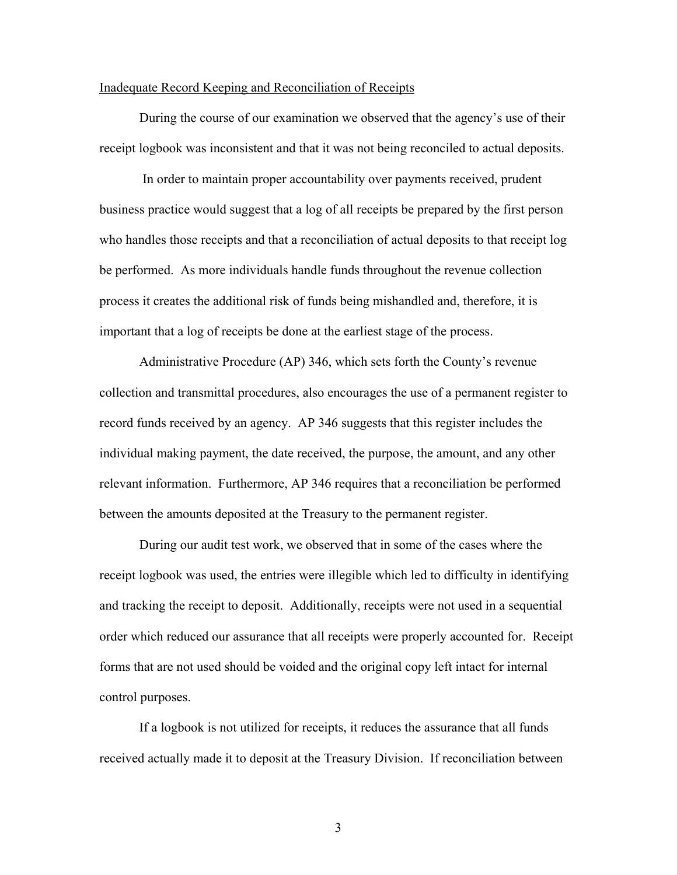### Inadequate Record Keeping and Reconciliation of Receipts

 During the course of our examination we observed that the agency's use of their receipt logbook was inconsistent and that it was not being reconciled to actual deposits.

 In order to maintain proper accountability over payments received, prudent business practice would suggest that a log of all receipts be prepared by the first person who handles those receipts and that a reconciliation of actual deposits to that receipt log be performed. As more individuals handle funds throughout the revenue collection process it creates the additional risk of funds being mishandled and, therefore, it is important that a log of receipts be done at the earliest stage of the process.

Administrative Procedure (AP) 346, which sets forth the County's revenue collection and transmittal procedures, also encourages the use of a permanent register to record funds received by an agency. AP 346 suggests that this register includes the individual making payment, the date received, the purpose, the amount, and any other relevant information. Furthermore, AP 346 requires that a reconciliation be performed between the amounts deposited at the Treasury to the permanent register.

During our audit test work, we observed that in some of the cases where the receipt logbook was used, the entries were illegible which led to difficulty in identifying and tracking the receipt to deposit. Additionally, receipts were not used in a sequential order which reduced our assurance that all receipts were properly accounted for. Receipt forms that are not used should be voided and the original copy left intact for internal control purposes.

If a logbook is not utilized for receipts, it reduces the assurance that all funds received actually made it to deposit at the Treasury Division. If reconciliation between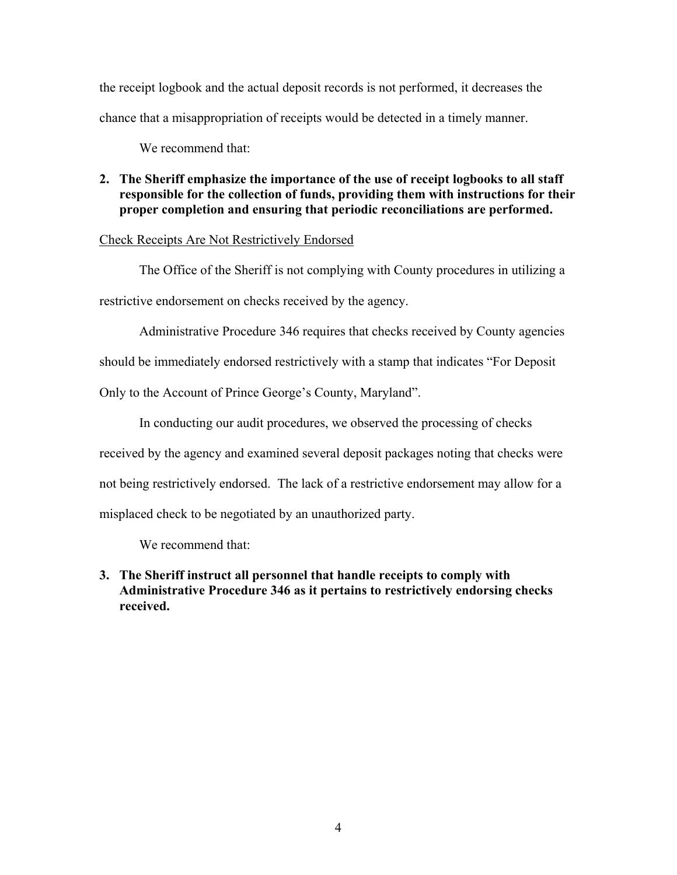the receipt logbook and the actual deposit records is not performed, it decreases the chance that a misappropriation of receipts would be detected in a timely manner.

We recommend that:

# **2. The Sheriff emphasize the importance of the use of receipt logbooks to all staff responsible for the collection of funds, providing them with instructions for their proper completion and ensuring that periodic reconciliations are performed.**

# Check Receipts Are Not Restrictively Endorsed

 The Office of the Sheriff is not complying with County procedures in utilizing a restrictive endorsement on checks received by the agency.

Administrative Procedure 346 requires that checks received by County agencies

should be immediately endorsed restrictively with a stamp that indicates "For Deposit

Only to the Account of Prince George's County, Maryland".

In conducting our audit procedures, we observed the processing of checks received by the agency and examined several deposit packages noting that checks were not being restrictively endorsed. The lack of a restrictive endorsement may allow for a misplaced check to be negotiated by an unauthorized party.

We recommend that:

**3. The Sheriff instruct all personnel that handle receipts to comply with Administrative Procedure 346 as it pertains to restrictively endorsing checks received.**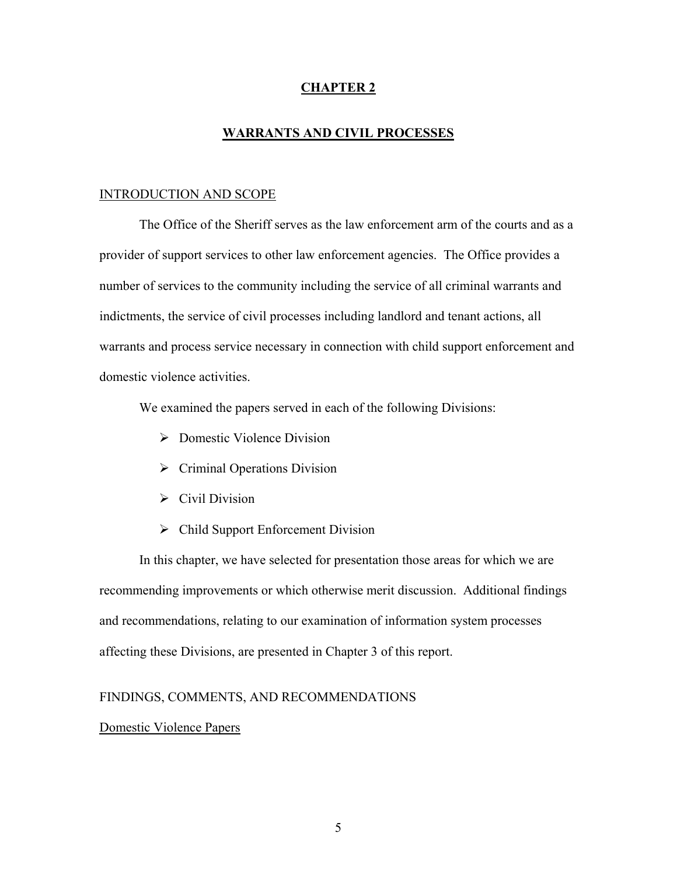# **CHAPTER 2**

### **WARRANTS AND CIVIL PROCESSES**

### INTRODUCTION AND SCOPE

 The Office of the Sheriff serves as the law enforcement arm of the courts and as a provider of support services to other law enforcement agencies. The Office provides a number of services to the community including the service of all criminal warrants and indictments, the service of civil processes including landlord and tenant actions, all warrants and process service necessary in connection with child support enforcement and domestic violence activities.

We examined the papers served in each of the following Divisions:

- ¾ Domestic Violence Division
- $\triangleright$  Criminal Operations Division
- $\triangleright$  Civil Division
- $\triangleright$  Child Support Enforcement Division

In this chapter, we have selected for presentation those areas for which we are recommending improvements or which otherwise merit discussion. Additional findings and recommendations, relating to our examination of information system processes affecting these Divisions, are presented in Chapter 3 of this report.

# FINDINGS, COMMENTS, AND RECOMMENDATIONS

### Domestic Violence Papers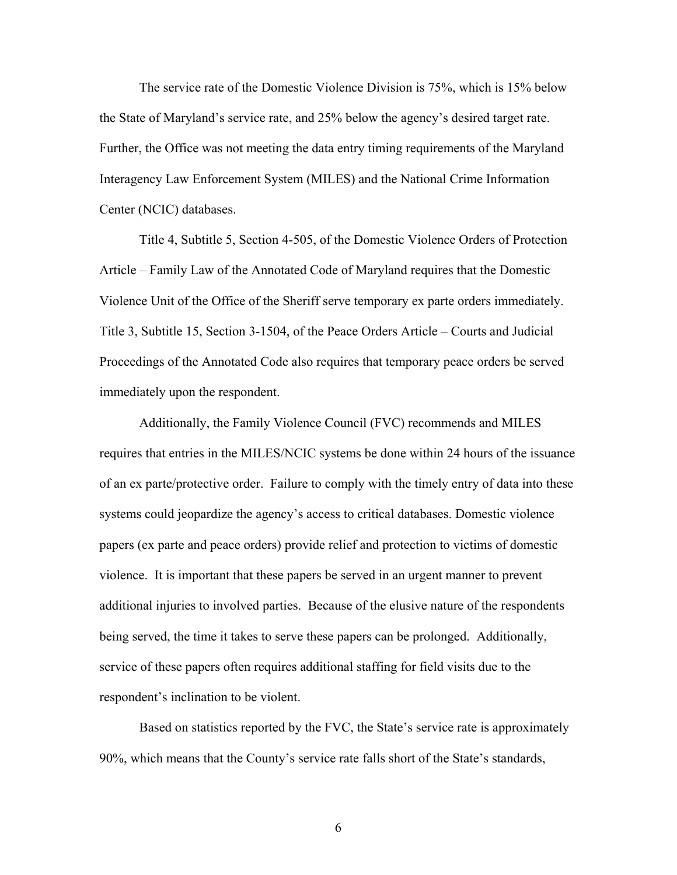The service rate of the Domestic Violence Division is 75%, which is 15% below the State of Maryland's service rate, and 25% below the agency's desired target rate. Further, the Office was not meeting the data entry timing requirements of the Maryland Interagency Law Enforcement System (MILES) and the National Crime Information Center (NCIC) databases.

Title 4, Subtitle 5, Section 4-505, of the Domestic Violence Orders of Protection Article – Family Law of the Annotated Code of Maryland requires that the Domestic Violence Unit of the Office of the Sheriff serve temporary ex parte orders immediately. Title 3, Subtitle 15, Section 3-1504, of the Peace Orders Article – Courts and Judicial Proceedings of the Annotated Code also requires that temporary peace orders be served immediately upon the respondent.

Additionally, the Family Violence Council (FVC) recommends and MILES requires that entries in the MILES/NCIC systems be done within 24 hours of the issuance of an ex parte/protective order. Failure to comply with the timely entry of data into these systems could jeopardize the agency's access to critical databases. Domestic violence papers (ex parte and peace orders) provide relief and protection to victims of domestic violence. It is important that these papers be served in an urgent manner to prevent additional injuries to involved parties. Because of the elusive nature of the respondents being served, the time it takes to serve these papers can be prolonged. Additionally, service of these papers often requires additional staffing for field visits due to the respondent's inclination to be violent.

Based on statistics reported by the FVC, the State's service rate is approximately 90%, which means that the County's service rate falls short of the State's standards,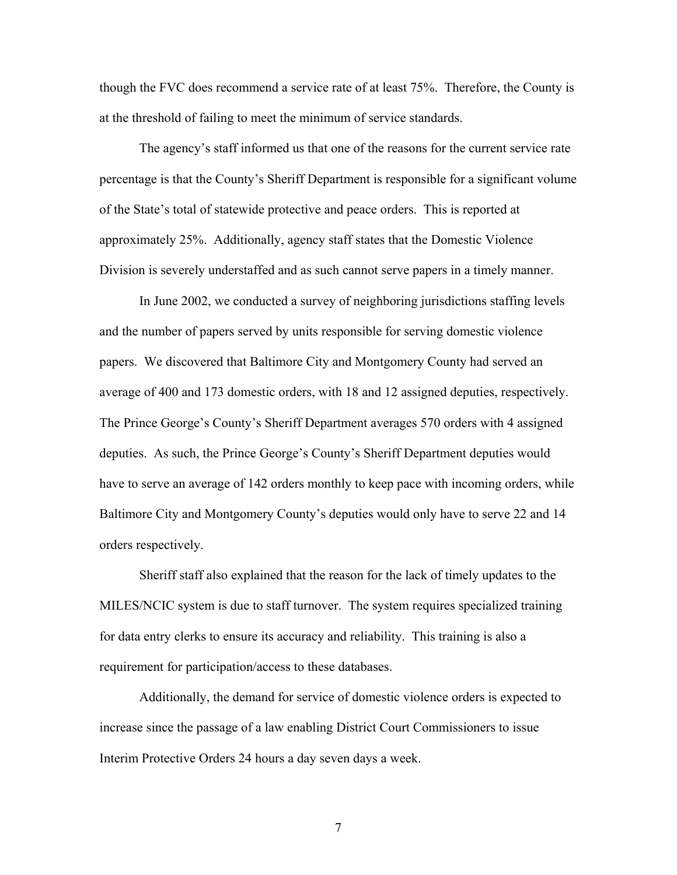though the FVC does recommend a service rate of at least 75%. Therefore, the County is at the threshold of failing to meet the minimum of service standards.

The agency's staff informed us that one of the reasons for the current service rate percentage is that the County's Sheriff Department is responsible for a significant volume of the State's total of statewide protective and peace orders. This is reported at approximately 25%. Additionally, agency staff states that the Domestic Violence Division is severely understaffed and as such cannot serve papers in a timely manner.

In June 2002, we conducted a survey of neighboring jurisdictions staffing levels and the number of papers served by units responsible for serving domestic violence papers. We discovered that Baltimore City and Montgomery County had served an average of 400 and 173 domestic orders, with 18 and 12 assigned deputies, respectively. The Prince George's County's Sheriff Department averages 570 orders with 4 assigned deputies. As such, the Prince George's County's Sheriff Department deputies would have to serve an average of 142 orders monthly to keep pace with incoming orders, while Baltimore City and Montgomery County's deputies would only have to serve 22 and 14 orders respectively.

Sheriff staff also explained that the reason for the lack of timely updates to the MILES/NCIC system is due to staff turnover. The system requires specialized training for data entry clerks to ensure its accuracy and reliability. This training is also a requirement for participation/access to these databases.

Additionally, the demand for service of domestic violence orders is expected to increase since the passage of a law enabling District Court Commissioners to issue Interim Protective Orders 24 hours a day seven days a week.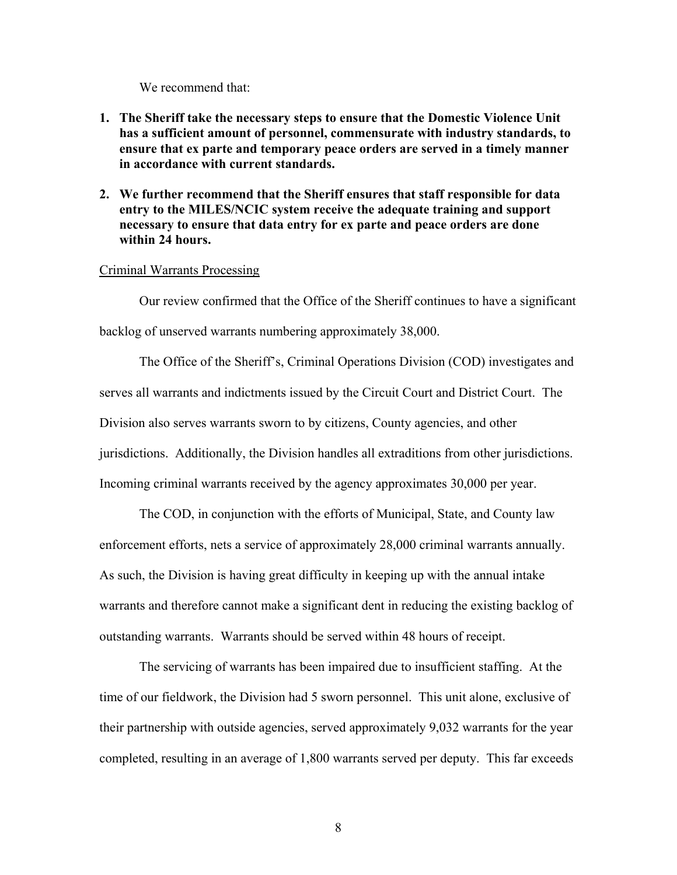We recommend that:

- **1. The Sheriff take the necessary steps to ensure that the Domestic Violence Unit has a sufficient amount of personnel, commensurate with industry standards, to ensure that ex parte and temporary peace orders are served in a timely manner in accordance with current standards.**
- **2. We further recommend that the Sheriff ensures that staff responsible for data entry to the MILES/NCIC system receive the adequate training and support necessary to ensure that data entry for ex parte and peace orders are done within 24 hours.**

#### Criminal Warrants Processing

 Our review confirmed that the Office of the Sheriff continues to have a significant backlog of unserved warrants numbering approximately 38,000.

The Office of the Sheriff's, Criminal Operations Division (COD) investigates and serves all warrants and indictments issued by the Circuit Court and District Court. The Division also serves warrants sworn to by citizens, County agencies, and other jurisdictions. Additionally, the Division handles all extraditions from other jurisdictions. Incoming criminal warrants received by the agency approximates 30,000 per year.

 The COD, in conjunction with the efforts of Municipal, State, and County law enforcement efforts, nets a service of approximately 28,000 criminal warrants annually. As such, the Division is having great difficulty in keeping up with the annual intake warrants and therefore cannot make a significant dent in reducing the existing backlog of outstanding warrants. Warrants should be served within 48 hours of receipt.

 The servicing of warrants has been impaired due to insufficient staffing. At the time of our fieldwork, the Division had 5 sworn personnel. This unit alone, exclusive of their partnership with outside agencies, served approximately 9,032 warrants for the year completed, resulting in an average of 1,800 warrants served per deputy. This far exceeds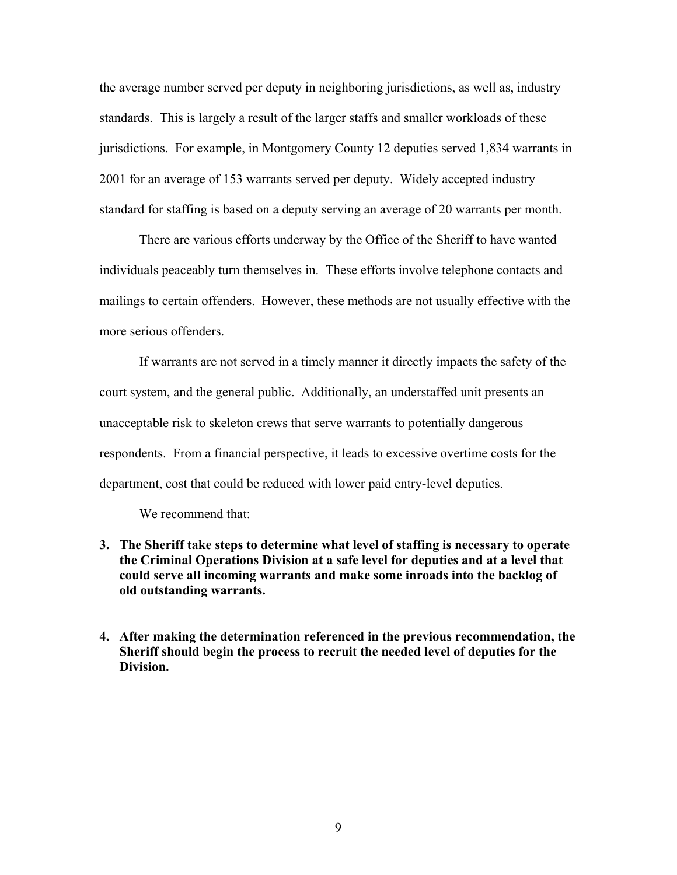the average number served per deputy in neighboring jurisdictions, as well as, industry standards. This is largely a result of the larger staffs and smaller workloads of these jurisdictions. For example, in Montgomery County 12 deputies served 1,834 warrants in 2001 for an average of 153 warrants served per deputy. Widely accepted industry standard for staffing is based on a deputy serving an average of 20 warrants per month.

 There are various efforts underway by the Office of the Sheriff to have wanted individuals peaceably turn themselves in. These efforts involve telephone contacts and mailings to certain offenders. However, these methods are not usually effective with the more serious offenders.

 If warrants are not served in a timely manner it directly impacts the safety of the court system, and the general public. Additionally, an understaffed unit presents an unacceptable risk to skeleton crews that serve warrants to potentially dangerous respondents. From a financial perspective, it leads to excessive overtime costs for the department, cost that could be reduced with lower paid entry-level deputies.

We recommend that:

- **3. The Sheriff take steps to determine what level of staffing is necessary to operate the Criminal Operations Division at a safe level for deputies and at a level that could serve all incoming warrants and make some inroads into the backlog of old outstanding warrants.**
- **4. After making the determination referenced in the previous recommendation, the Sheriff should begin the process to recruit the needed level of deputies for the Division.**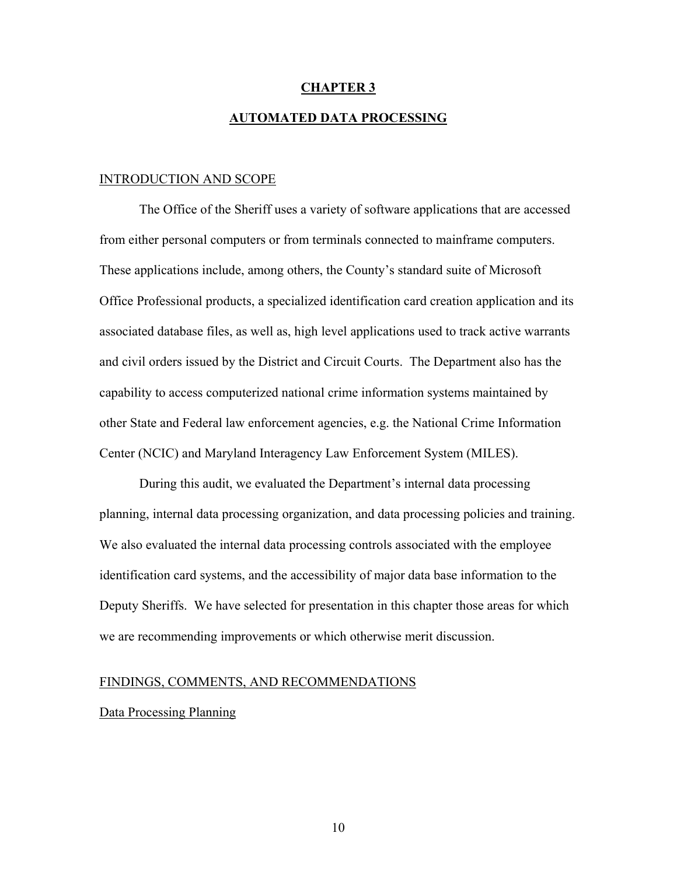### **CHAPTER 3**

### **AUTOMATED DATA PROCESSING**

### INTRODUCTION AND SCOPE

 The Office of the Sheriff uses a variety of software applications that are accessed from either personal computers or from terminals connected to mainframe computers. These applications include, among others, the County's standard suite of Microsoft Office Professional products, a specialized identification card creation application and its associated database files, as well as, high level applications used to track active warrants and civil orders issued by the District and Circuit Courts. The Department also has the capability to access computerized national crime information systems maintained by other State and Federal law enforcement agencies, e.g. the National Crime Information Center (NCIC) and Maryland Interagency Law Enforcement System (MILES).

 During this audit, we evaluated the Department's internal data processing planning, internal data processing organization, and data processing policies and training. We also evaluated the internal data processing controls associated with the employee identification card systems, and the accessibility of major data base information to the Deputy Sheriffs. We have selected for presentation in this chapter those areas for which we are recommending improvements or which otherwise merit discussion.

# FINDINGS, COMMENTS, AND RECOMMENDATIONS

#### Data Processing Planning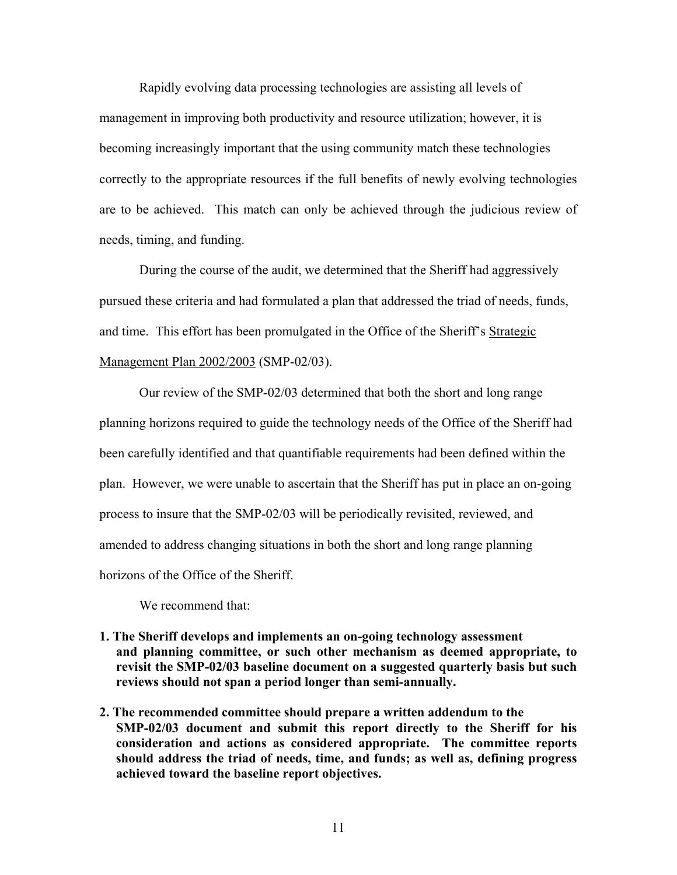Rapidly evolving data processing technologies are assisting all levels of management in improving both productivity and resource utilization; however, it is becoming increasingly important that the using community match these technologies correctly to the appropriate resources if the full benefits of newly evolving technologies are to be achieved. This match can only be achieved through the judicious review of needs, timing, and funding.

During the course of the audit, we determined that the Sheriff had aggressively pursued these criteria and had formulated a plan that addressed the triad of needs, funds, and time. This effort has been promulgated in the Office of the Sheriff's Strategic Management Plan 2002/2003 (SMP-02/03).

Our review of the SMP-02/03 determined that both the short and long range planning horizons required to guide the technology needs of the Office of the Sheriff had been carefully identified and that quantifiable requirements had been defined within the plan. However, we were unable to ascertain that the Sheriff has put in place an on-going process to insure that the SMP-02/03 will be periodically revisited, reviewed, and amended to address changing situations in both the short and long range planning horizons of the Office of the Sheriff.

We recommend that:

- **1. The Sheriff develops and implements an on-going technology assessment and planning committee, or such other mechanism as deemed appropriate, to revisit the SMP-02/03 baseline document on a suggested quarterly basis but such reviews should not span a period longer than semi-annually.**
- **2. The recommended committee should prepare a written addendum to the SMP-02/03 document and submit this report directly to the Sheriff for his consideration and actions as considered appropriate. The committee reports should address the triad of needs, time, and funds; as well as, defining progress achieved toward the baseline report objectives.**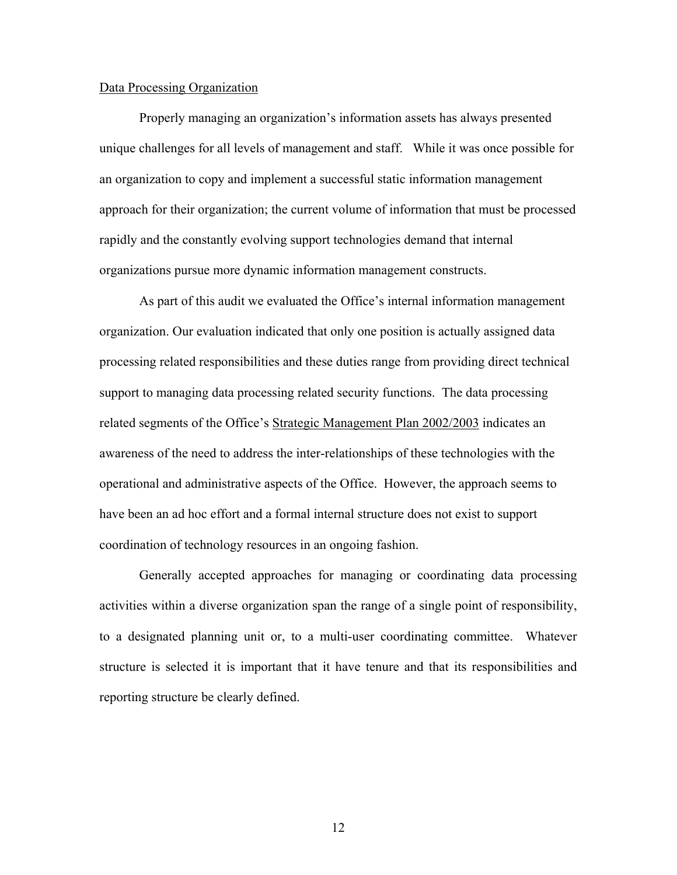### Data Processing Organization

 Properly managing an organization's information assets has always presented unique challenges for all levels of management and staff. While it was once possible for an organization to copy and implement a successful static information management approach for their organization; the current volume of information that must be processed rapidly and the constantly evolving support technologies demand that internal organizations pursue more dynamic information management constructs.

 As part of this audit we evaluated the Office's internal information management organization. Our evaluation indicated that only one position is actually assigned data processing related responsibilities and these duties range from providing direct technical support to managing data processing related security functions. The data processing related segments of the Office's Strategic Management Plan 2002/2003 indicates an awareness of the need to address the inter-relationships of these technologies with the operational and administrative aspects of the Office. However, the approach seems to have been an ad hoc effort and a formal internal structure does not exist to support coordination of technology resources in an ongoing fashion.

 Generally accepted approaches for managing or coordinating data processing activities within a diverse organization span the range of a single point of responsibility, to a designated planning unit or, to a multi-user coordinating committee. Whatever structure is selected it is important that it have tenure and that its responsibilities and reporting structure be clearly defined.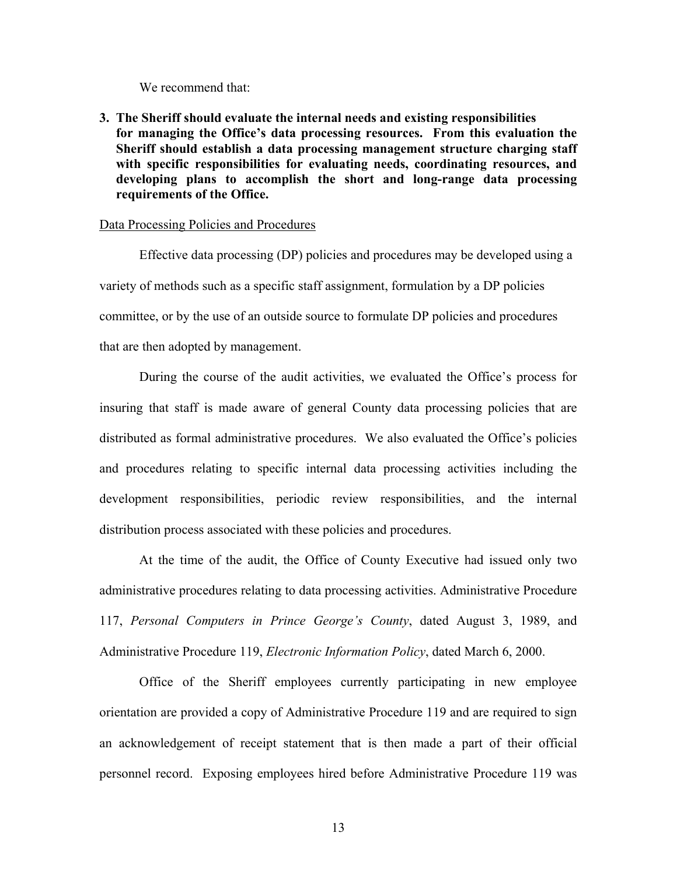We recommend that:

**3. The Sheriff should evaluate the internal needs and existing responsibilities for managing the Office's data processing resources. From this evaluation the Sheriff should establish a data processing management structure charging staff with specific responsibilities for evaluating needs, coordinating resources, and developing plans to accomplish the short and long-range data processing requirements of the Office.** 

#### Data Processing Policies and Procedures

Effective data processing (DP) policies and procedures may be developed using a variety of methods such as a specific staff assignment, formulation by a DP policies committee, or by the use of an outside source to formulate DP policies and procedures that are then adopted by management.

During the course of the audit activities, we evaluated the Office's process for insuring that staff is made aware of general County data processing policies that are distributed as formal administrative procedures. We also evaluated the Office's policies and procedures relating to specific internal data processing activities including the development responsibilities, periodic review responsibilities, and the internal distribution process associated with these policies and procedures.

At the time of the audit, the Office of County Executive had issued only two administrative procedures relating to data processing activities. Administrative Procedure 117, *Personal Computers in Prince George's County*, dated August 3, 1989, and Administrative Procedure 119, *Electronic Information Policy*, dated March 6, 2000.

Office of the Sheriff employees currently participating in new employee orientation are provided a copy of Administrative Procedure 119 and are required to sign an acknowledgement of receipt statement that is then made a part of their official personnel record. Exposing employees hired before Administrative Procedure 119 was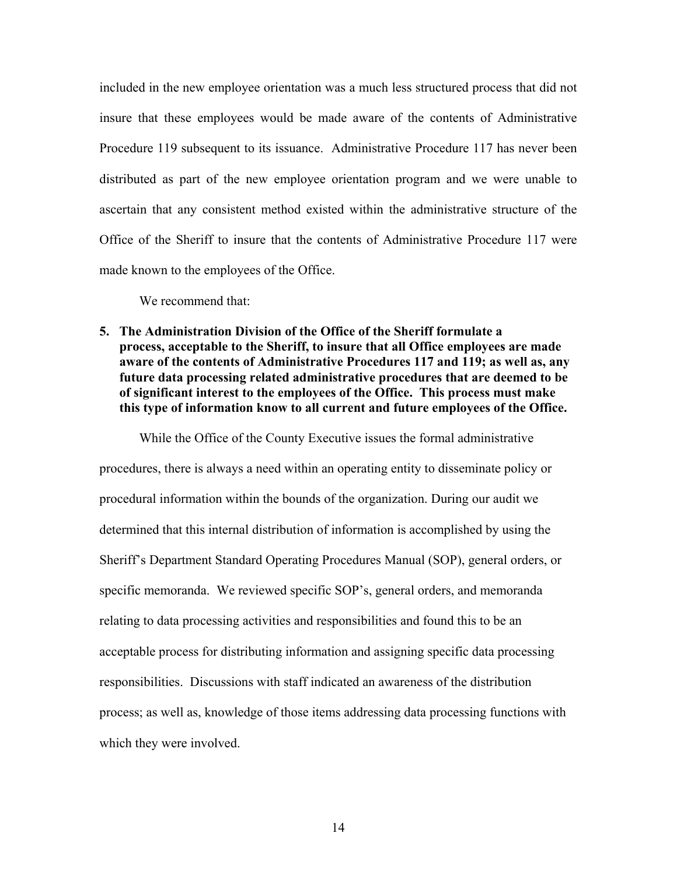included in the new employee orientation was a much less structured process that did not insure that these employees would be made aware of the contents of Administrative Procedure 119 subsequent to its issuance. Administrative Procedure 117 has never been distributed as part of the new employee orientation program and we were unable to ascertain that any consistent method existed within the administrative structure of the Office of the Sheriff to insure that the contents of Administrative Procedure 117 were made known to the employees of the Office.

We recommend that:

**5. The Administration Division of the Office of the Sheriff formulate a process, acceptable to the Sheriff, to insure that all Office employees are made aware of the contents of Administrative Procedures 117 and 119; as well as, any future data processing related administrative procedures that are deemed to be of significant interest to the employees of the Office. This process must make this type of information know to all current and future employees of the Office.** 

While the Office of the County Executive issues the formal administrative procedures, there is always a need within an operating entity to disseminate policy or procedural information within the bounds of the organization. During our audit we determined that this internal distribution of information is accomplished by using the Sheriff's Department Standard Operating Procedures Manual (SOP), general orders, or specific memoranda. We reviewed specific SOP's, general orders, and memoranda relating to data processing activities and responsibilities and found this to be an acceptable process for distributing information and assigning specific data processing responsibilities. Discussions with staff indicated an awareness of the distribution process; as well as, knowledge of those items addressing data processing functions with which they were involved.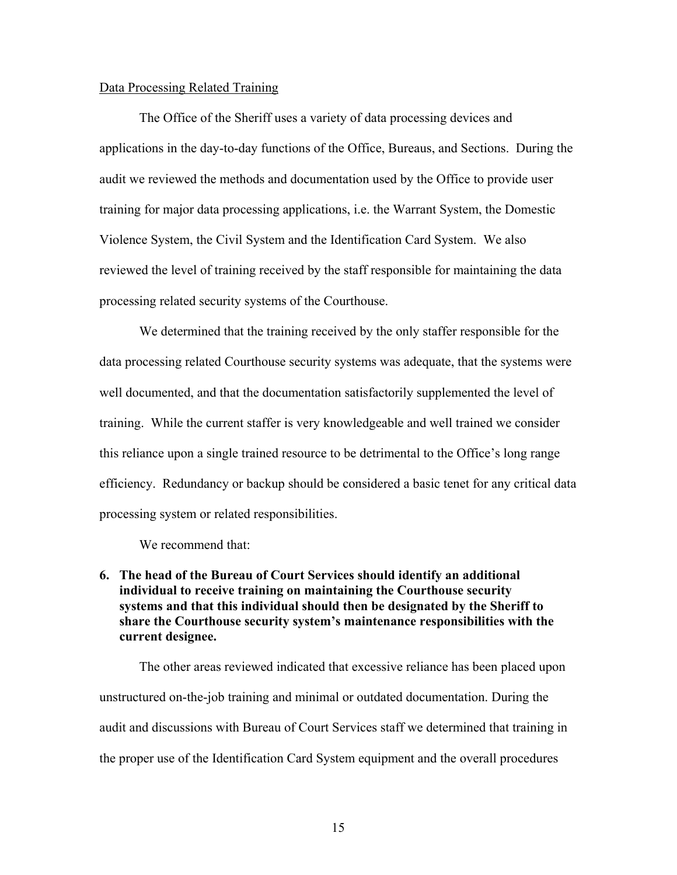### Data Processing Related Training

The Office of the Sheriff uses a variety of data processing devices and applications in the day-to-day functions of the Office, Bureaus, and Sections. During the audit we reviewed the methods and documentation used by the Office to provide user training for major data processing applications, i.e. the Warrant System, the Domestic Violence System, the Civil System and the Identification Card System. We also reviewed the level of training received by the staff responsible for maintaining the data processing related security systems of the Courthouse.

We determined that the training received by the only staffer responsible for the data processing related Courthouse security systems was adequate, that the systems were well documented, and that the documentation satisfactorily supplemented the level of training. While the current staffer is very knowledgeable and well trained we consider this reliance upon a single trained resource to be detrimental to the Office's long range efficiency. Redundancy or backup should be considered a basic tenet for any critical data processing system or related responsibilities.

We recommend that:

# **6. The head of the Bureau of Court Services should identify an additional individual to receive training on maintaining the Courthouse security systems and that this individual should then be designated by the Sheriff to share the Courthouse security system's maintenance responsibilities with the current designee.**

The other areas reviewed indicated that excessive reliance has been placed upon unstructured on-the-job training and minimal or outdated documentation. During the audit and discussions with Bureau of Court Services staff we determined that training in the proper use of the Identification Card System equipment and the overall procedures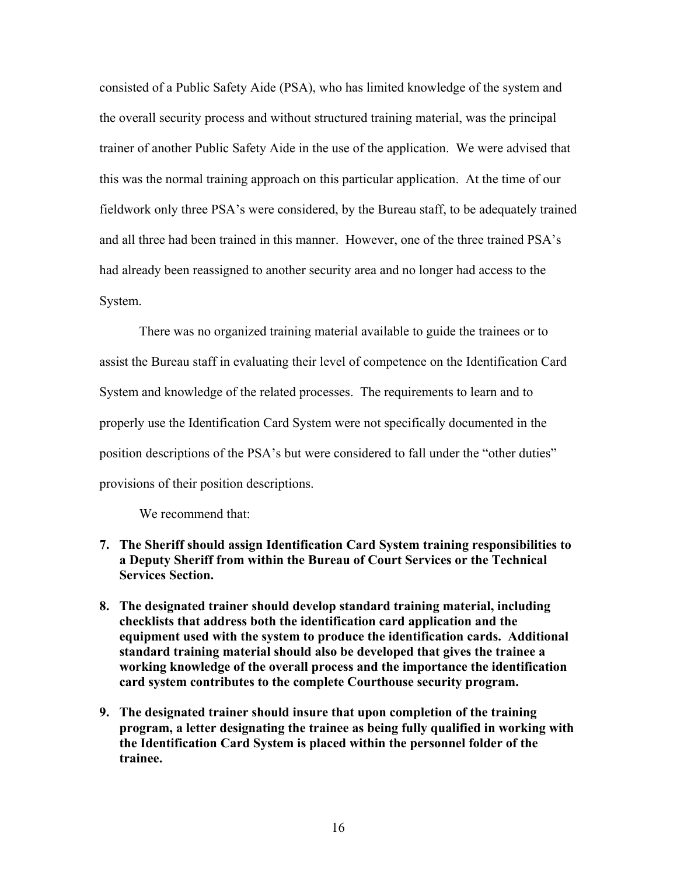consisted of a Public Safety Aide (PSA), who has limited knowledge of the system and the overall security process and without structured training material, was the principal trainer of another Public Safety Aide in the use of the application. We were advised that this was the normal training approach on this particular application. At the time of our fieldwork only three PSA's were considered, by the Bureau staff, to be adequately trained and all three had been trained in this manner. However, one of the three trained PSA's had already been reassigned to another security area and no longer had access to the System.

There was no organized training material available to guide the trainees or to assist the Bureau staff in evaluating their level of competence on the Identification Card System and knowledge of the related processes. The requirements to learn and to properly use the Identification Card System were not specifically documented in the position descriptions of the PSA's but were considered to fall under the "other duties" provisions of their position descriptions.

We recommend that:

- **7. The Sheriff should assign Identification Card System training responsibilities to a Deputy Sheriff from within the Bureau of Court Services or the Technical Services Section.**
- **8. The designated trainer should develop standard training material, including checklists that address both the identification card application and the equipment used with the system to produce the identification cards. Additional standard training material should also be developed that gives the trainee a working knowledge of the overall process and the importance the identification card system contributes to the complete Courthouse security program.**
- **9. The designated trainer should insure that upon completion of the training program, a letter designating the trainee as being fully qualified in working with the Identification Card System is placed within the personnel folder of the trainee.**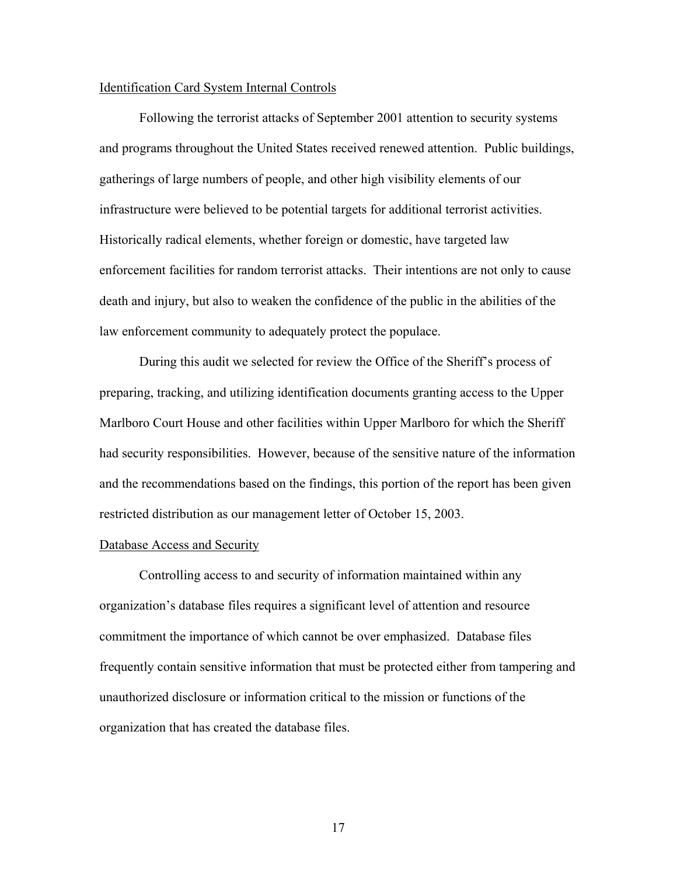### Identification Card System Internal Controls

Following the terrorist attacks of September 2001 attention to security systems and programs throughout the United States received renewed attention. Public buildings, gatherings of large numbers of people, and other high visibility elements of our infrastructure were believed to be potential targets for additional terrorist activities. Historically radical elements, whether foreign or domestic, have targeted law enforcement facilities for random terrorist attacks. Their intentions are not only to cause death and injury, but also to weaken the confidence of the public in the abilities of the law enforcement community to adequately protect the populace.

During this audit we selected for review the Office of the Sheriff's process of preparing, tracking, and utilizing identification documents granting access to the Upper Marlboro Court House and other facilities within Upper Marlboro for which the Sheriff had security responsibilities. However, because of the sensitive nature of the information and the recommendations based on the findings, this portion of the report has been given restricted distribution as our management letter of October 15, 2003.

### Database Access and Security

Controlling access to and security of information maintained within any organization's database files requires a significant level of attention and resource commitment the importance of which cannot be over emphasized. Database files frequently contain sensitive information that must be protected either from tampering and unauthorized disclosure or information critical to the mission or functions of the organization that has created the database files.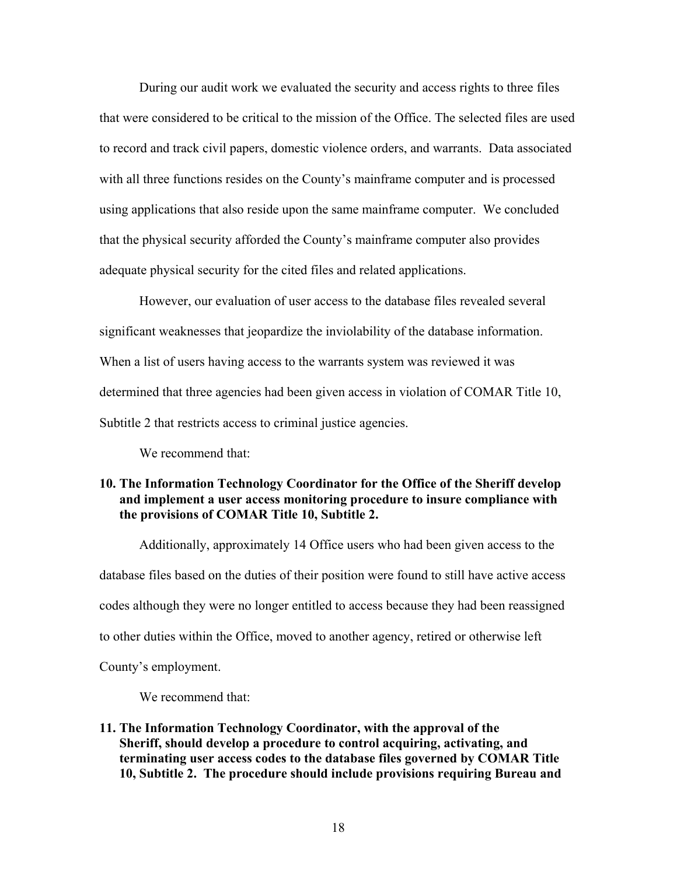During our audit work we evaluated the security and access rights to three files that were considered to be critical to the mission of the Office. The selected files are used to record and track civil papers, domestic violence orders, and warrants. Data associated with all three functions resides on the County's mainframe computer and is processed using applications that also reside upon the same mainframe computer. We concluded that the physical security afforded the County's mainframe computer also provides adequate physical security for the cited files and related applications.

However, our evaluation of user access to the database files revealed several significant weaknesses that jeopardize the inviolability of the database information. When a list of users having access to the warrants system was reviewed it was determined that three agencies had been given access in violation of COMAR Title 10, Subtitle 2 that restricts access to criminal justice agencies.

We recommend that:

# **10. The Information Technology Coordinator for the Office of the Sheriff develop and implement a user access monitoring procedure to insure compliance with the provisions of COMAR Title 10, Subtitle 2.**

Additionally, approximately 14 Office users who had been given access to the database files based on the duties of their position were found to still have active access codes although they were no longer entitled to access because they had been reassigned to other duties within the Office, moved to another agency, retired or otherwise left County's employment.

We recommend that:

**11. The Information Technology Coordinator, with the approval of the Sheriff, should develop a procedure to control acquiring, activating, and terminating user access codes to the database files governed by COMAR Title 10, Subtitle 2. The procedure should include provisions requiring Bureau and**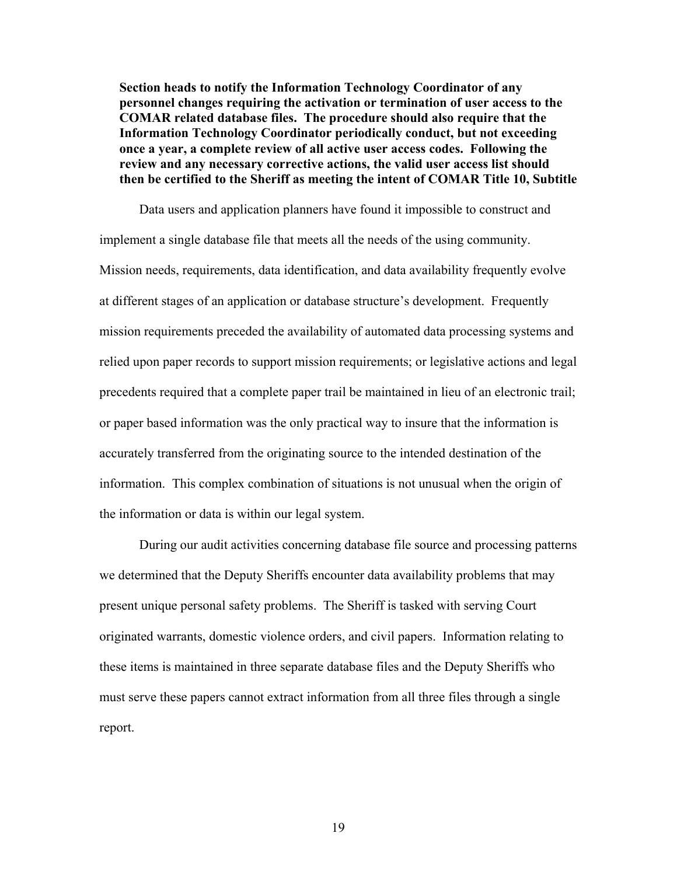**Section heads to notify the Information Technology Coordinator of any personnel changes requiring the activation or termination of user access to the COMAR related database files. The procedure should also require that the Information Technology Coordinator periodically conduct, but not exceeding once a year, a complete review of all active user access codes. Following the review and any necessary corrective actions, the valid user access list should then be certified to the Sheriff as meeting the intent of COMAR Title 10, Subtitle** 

Data users and application planners have found it impossible to construct and implement a single database file that meets all the needs of the using community. Mission needs, requirements, data identification, and data availability frequently evolve at different stages of an application or database structure's development. Frequently mission requirements preceded the availability of automated data processing systems and relied upon paper records to support mission requirements; or legislative actions and legal precedents required that a complete paper trail be maintained in lieu of an electronic trail; or paper based information was the only practical way to insure that the information is accurately transferred from the originating source to the intended destination of the information. This complex combination of situations is not unusual when the origin of the information or data is within our legal system.

During our audit activities concerning database file source and processing patterns we determined that the Deputy Sheriffs encounter data availability problems that may present unique personal safety problems. The Sheriff is tasked with serving Court originated warrants, domestic violence orders, and civil papers. Information relating to these items is maintained in three separate database files and the Deputy Sheriffs who must serve these papers cannot extract information from all three files through a single report.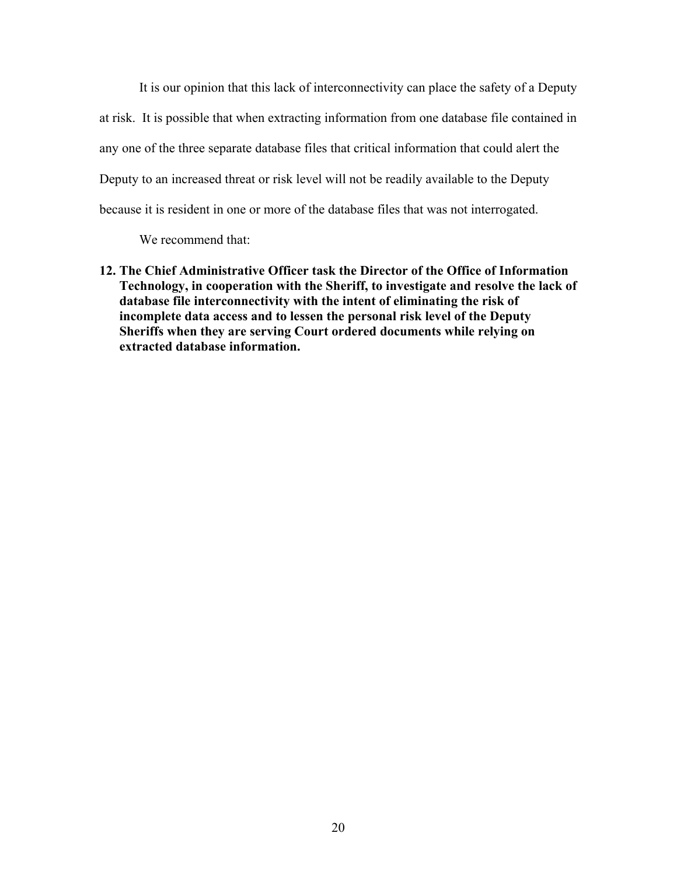It is our opinion that this lack of interconnectivity can place the safety of a Deputy at risk. It is possible that when extracting information from one database file contained in any one of the three separate database files that critical information that could alert the Deputy to an increased threat or risk level will not be readily available to the Deputy because it is resident in one or more of the database files that was not interrogated.

We recommend that:

**12. The Chief Administrative Officer task the Director of the Office of Information Technology, in cooperation with the Sheriff, to investigate and resolve the lack of database file interconnectivity with the intent of eliminating the risk of incomplete data access and to lessen the personal risk level of the Deputy Sheriffs when they are serving Court ordered documents while relying on extracted database information.**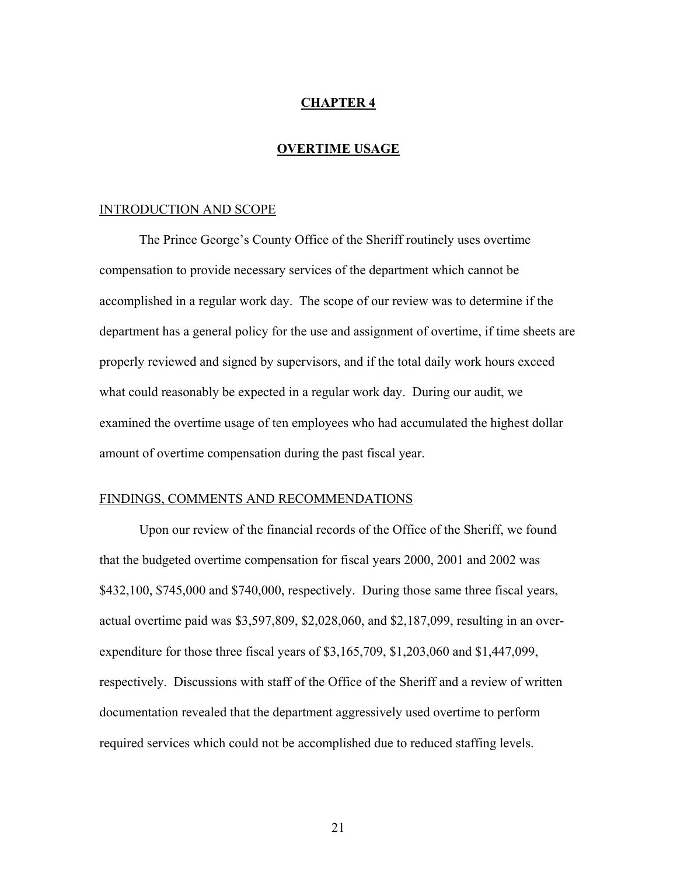# **CHAPTER 4**

### **OVERTIME USAGE**

#### INTRODUCTION AND SCOPE

 The Prince George's County Office of the Sheriff routinely uses overtime compensation to provide necessary services of the department which cannot be accomplished in a regular work day. The scope of our review was to determine if the department has a general policy for the use and assignment of overtime, if time sheets are properly reviewed and signed by supervisors, and if the total daily work hours exceed what could reasonably be expected in a regular work day. During our audit, we examined the overtime usage of ten employees who had accumulated the highest dollar amount of overtime compensation during the past fiscal year.

# FINDINGS, COMMENTS AND RECOMMENDATIONS

 Upon our review of the financial records of the Office of the Sheriff, we found that the budgeted overtime compensation for fiscal years 2000, 2001 and 2002 was \$432,100, \$745,000 and \$740,000, respectively. During those same three fiscal years, actual overtime paid was \$3,597,809, \$2,028,060, and \$2,187,099, resulting in an overexpenditure for those three fiscal years of \$3,165,709, \$1,203,060 and \$1,447,099, respectively. Discussions with staff of the Office of the Sheriff and a review of written documentation revealed that the department aggressively used overtime to perform required services which could not be accomplished due to reduced staffing levels.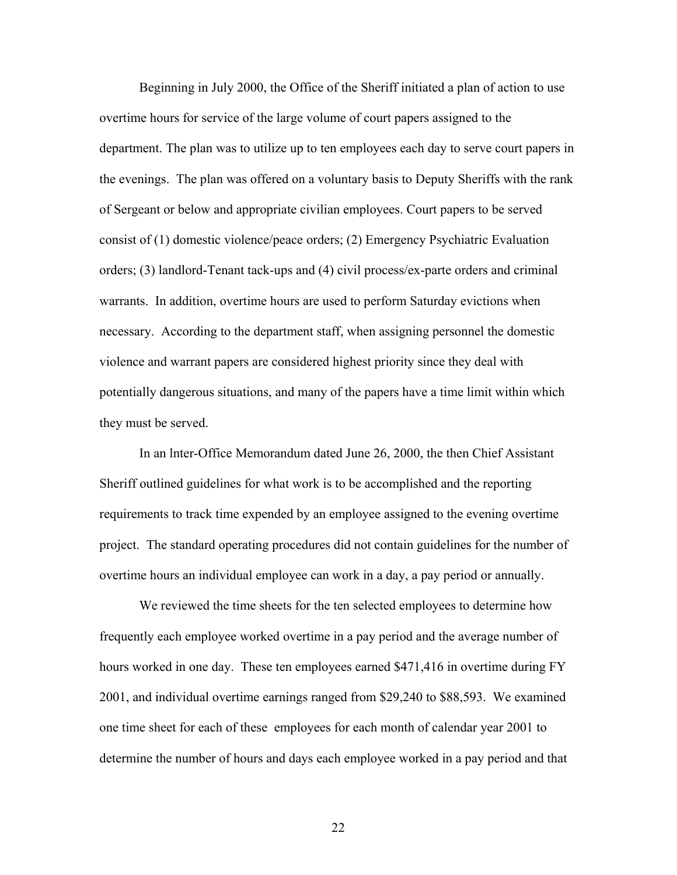Beginning in July 2000, the Office of the Sheriff initiated a plan of action to use overtime hours for service of the large volume of court papers assigned to the department. The plan was to utilize up to ten employees each day to serve court papers in the evenings. The plan was offered on a voluntary basis to Deputy Sheriffs with the rank of Sergeant or below and appropriate civilian employees. Court papers to be served consist of (1) domestic violence/peace orders; (2) Emergency Psychiatric Evaluation orders; (3) landlord-Tenant tack-ups and (4) civil process/ex-parte orders and criminal warrants. In addition, overtime hours are used to perform Saturday evictions when necessary. According to the department staff, when assigning personnel the domestic violence and warrant papers are considered highest priority since they deal with potentially dangerous situations, and many of the papers have a time limit within which they must be served.

 In an lnter-Office Memorandum dated June 26, 2000, the then Chief Assistant Sheriff outlined guidelines for what work is to be accomplished and the reporting requirements to track time expended by an employee assigned to the evening overtime project. The standard operating procedures did not contain guidelines for the number of overtime hours an individual employee can work in a day, a pay period or annually.

 We reviewed the time sheets for the ten selected employees to determine how frequently each employee worked overtime in a pay period and the average number of hours worked in one day. These ten employees earned \$471,416 in overtime during FY 2001, and individual overtime earnings ranged from \$29,240 to \$88,593. We examined one time sheet for each of these employees for each month of calendar year 2001 to determine the number of hours and days each employee worked in a pay period and that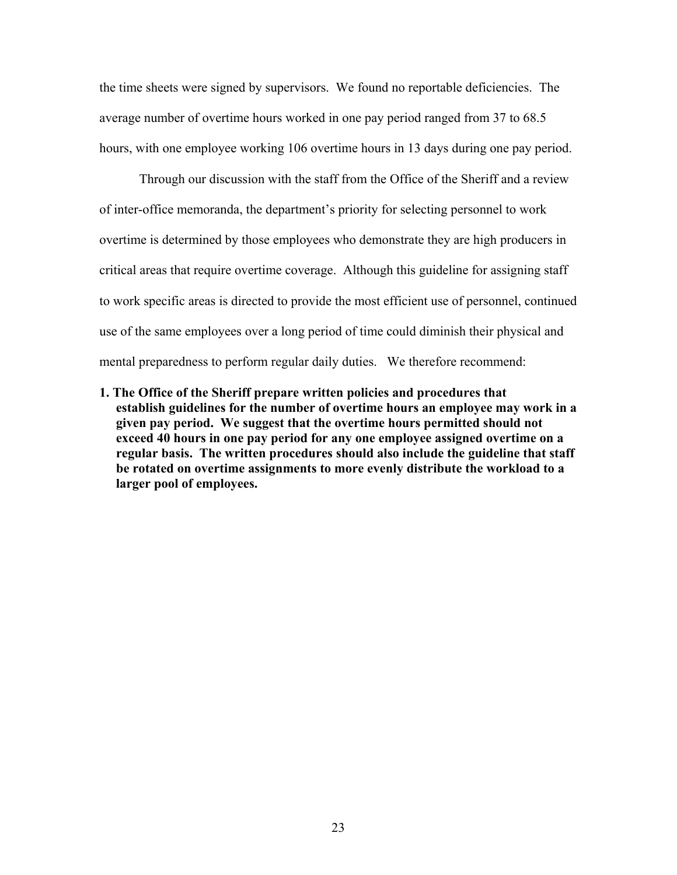the time sheets were signed by supervisors. We found no reportable deficiencies. The average number of overtime hours worked in one pay period ranged from 37 to 68.5 hours, with one employee working 106 overtime hours in 13 days during one pay period.

 Through our discussion with the staff from the Office of the Sheriff and a review of inter-office memoranda, the department's priority for selecting personnel to work overtime is determined by those employees who demonstrate they are high producers in critical areas that require overtime coverage. Although this guideline for assigning staff to work specific areas is directed to provide the most efficient use of personnel, continued use of the same employees over a long period of time could diminish their physical and mental preparedness to perform regular daily duties. We therefore recommend:

**1. The Office of the Sheriff prepare written policies and procedures that establish guidelines for the number of overtime hours an employee may work in a given pay period. We suggest that the overtime hours permitted should not exceed 40 hours in one pay period for any one employee assigned overtime on a regular basis. The written procedures should also include the guideline that staff be rotated on overtime assignments to more evenly distribute the workload to a larger pool of employees.**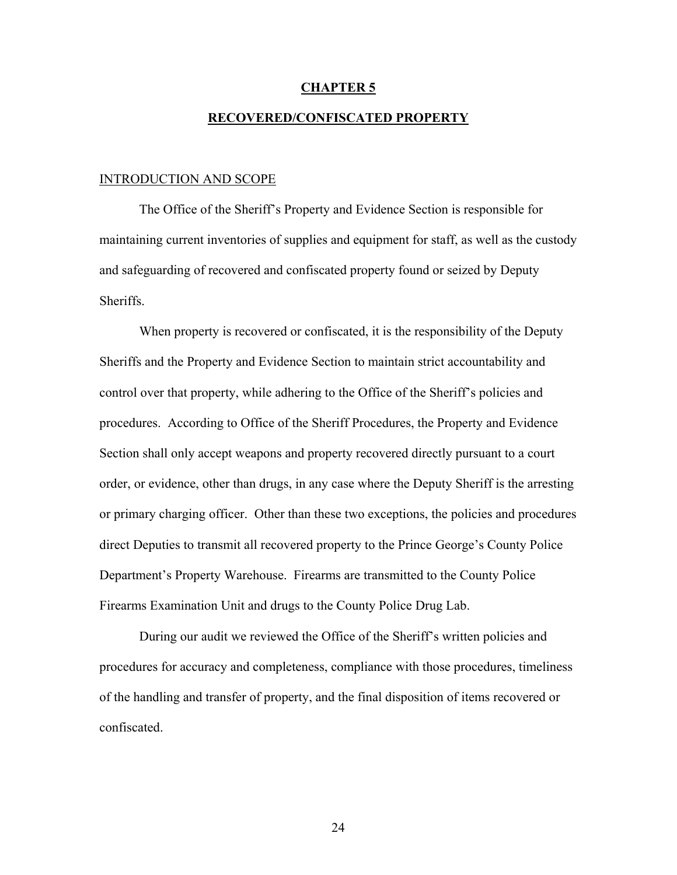#### **CHAPTER 5**

# **RECOVERED/CONFISCATED PROPERTY**

#### INTRODUCTION AND SCOPE

 The Office of the Sheriff's Property and Evidence Section is responsible for maintaining current inventories of supplies and equipment for staff, as well as the custody and safeguarding of recovered and confiscated property found or seized by Deputy Sheriffs.

When property is recovered or confiscated, it is the responsibility of the Deputy Sheriffs and the Property and Evidence Section to maintain strict accountability and control over that property, while adhering to the Office of the Sheriff's policies and procedures. According to Office of the Sheriff Procedures, the Property and Evidence Section shall only accept weapons and property recovered directly pursuant to a court order, or evidence, other than drugs, in any case where the Deputy Sheriff is the arresting or primary charging officer. Other than these two exceptions, the policies and procedures direct Deputies to transmit all recovered property to the Prince George's County Police Department's Property Warehouse. Firearms are transmitted to the County Police Firearms Examination Unit and drugs to the County Police Drug Lab.

 During our audit we reviewed the Office of the Sheriff's written policies and procedures for accuracy and completeness, compliance with those procedures, timeliness of the handling and transfer of property, and the final disposition of items recovered or confiscated.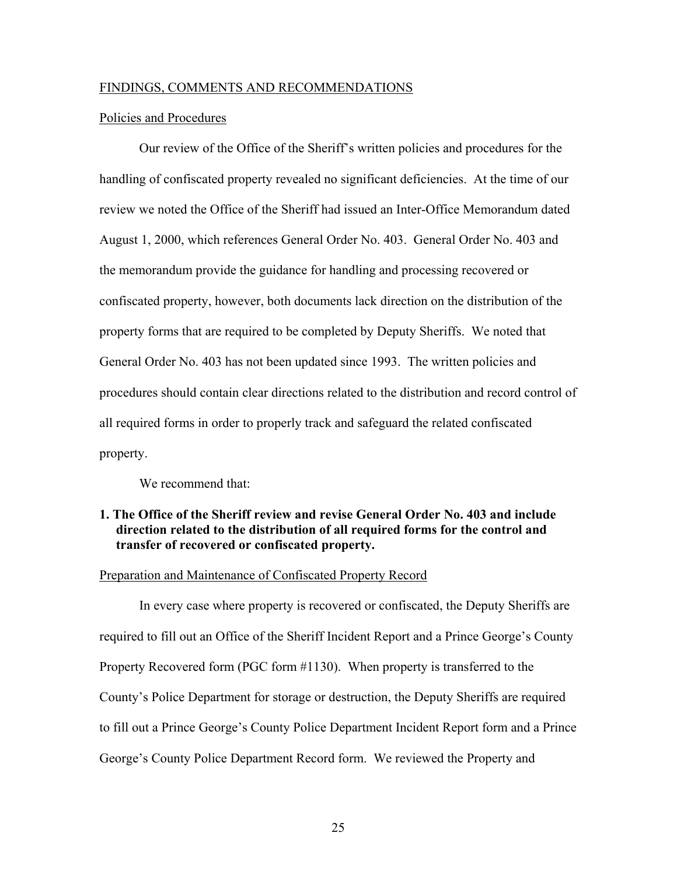#### FINDINGS, COMMENTS AND RECOMMENDATIONS

### Policies and Procedures

 Our review of the Office of the Sheriff's written policies and procedures for the handling of confiscated property revealed no significant deficiencies. At the time of our review we noted the Office of the Sheriff had issued an Inter-Office Memorandum dated August 1, 2000, which references General Order No. 403. General Order No. 403 and the memorandum provide the guidance for handling and processing recovered or confiscated property, however, both documents lack direction on the distribution of the property forms that are required to be completed by Deputy Sheriffs. We noted that General Order No. 403 has not been updated since 1993. The written policies and procedures should contain clear directions related to the distribution and record control of all required forms in order to properly track and safeguard the related confiscated property.

We recommend that:

# **1. The Office of the Sheriff review and revise General Order No. 403 and include direction related to the distribution of all required forms for the control and transfer of recovered or confiscated property.**

#### Preparation and Maintenance of Confiscated Property Record

In every case where property is recovered or confiscated, the Deputy Sheriffs are required to fill out an Office of the Sheriff Incident Report and a Prince George's County Property Recovered form (PGC form #1130). When property is transferred to the County's Police Department for storage or destruction, the Deputy Sheriffs are required to fill out a Prince George's County Police Department Incident Report form and a Prince George's County Police Department Record form. We reviewed the Property and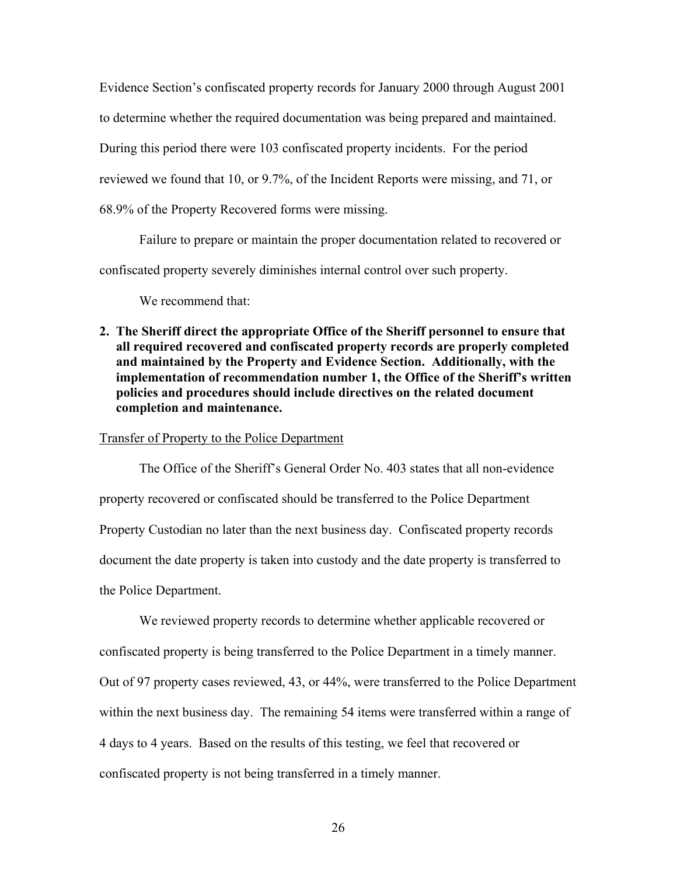Evidence Section's confiscated property records for January 2000 through August 2001 to determine whether the required documentation was being prepared and maintained. During this period there were 103 confiscated property incidents. For the period reviewed we found that 10, or 9.7%, of the Incident Reports were missing, and 71, or 68.9% of the Property Recovered forms were missing.

 Failure to prepare or maintain the proper documentation related to recovered or confiscated property severely diminishes internal control over such property.

We recommend that:

**2. The Sheriff direct the appropriate Office of the Sheriff personnel to ensure that all required recovered and confiscated property records are properly completed and maintained by the Property and Evidence Section. Additionally, with the implementation of recommendation number 1, the Office of the Sheriff's written policies and procedures should include directives on the related document completion and maintenance.** 

### Transfer of Property to the Police Department

 The Office of the Sheriff's General Order No. 403 states that all non-evidence property recovered or confiscated should be transferred to the Police Department Property Custodian no later than the next business day. Confiscated property records document the date property is taken into custody and the date property is transferred to the Police Department.

We reviewed property records to determine whether applicable recovered or confiscated property is being transferred to the Police Department in a timely manner. Out of 97 property cases reviewed, 43, or 44%, were transferred to the Police Department within the next business day. The remaining 54 items were transferred within a range of 4 days to 4 years. Based on the results of this testing, we feel that recovered or confiscated property is not being transferred in a timely manner.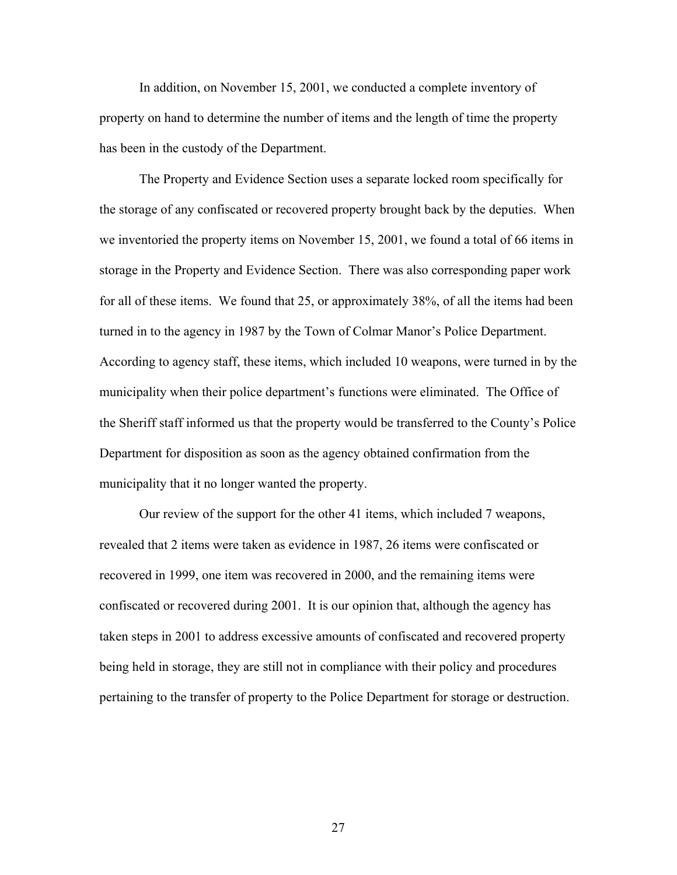In addition, on November 15, 2001, we conducted a complete inventory of property on hand to determine the number of items and the length of time the property has been in the custody of the Department.

 The Property and Evidence Section uses a separate locked room specifically for the storage of any confiscated or recovered property brought back by the deputies. When we inventoried the property items on November 15, 2001, we found a total of 66 items in storage in the Property and Evidence Section. There was also corresponding paper work for all of these items. We found that 25, or approximately 38%, of all the items had been turned in to the agency in 1987 by the Town of Colmar Manor's Police Department. According to agency staff, these items, which included 10 weapons, were turned in by the municipality when their police department's functions were eliminated. The Office of the Sheriff staff informed us that the property would be transferred to the County's Police Department for disposition as soon as the agency obtained confirmation from the municipality that it no longer wanted the property.

 Our review of the support for the other 41 items, which included 7 weapons, revealed that 2 items were taken as evidence in 1987, 26 items were confiscated or recovered in 1999, one item was recovered in 2000, and the remaining items were confiscated or recovered during 2001. It is our opinion that, although the agency has taken steps in 2001 to address excessive amounts of confiscated and recovered property being held in storage, they are still not in compliance with their policy and procedures pertaining to the transfer of property to the Police Department for storage or destruction.